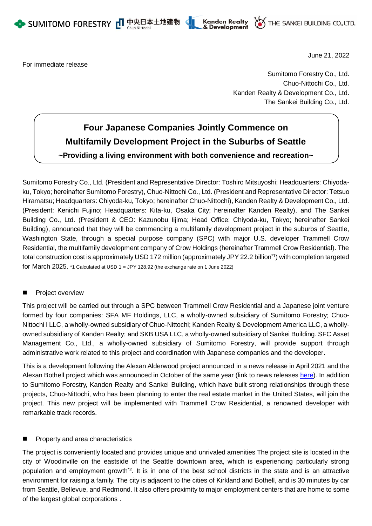





For immediate release

June 21, 2022

Sumitomo Forestry Co., Ltd. Chuo-Nittochi Co., Ltd. Kanden Realty & Development Co., Ltd. The Sankei Building Co., Ltd.

# **Four Japanese Companies Jointly Commence on Multifamily Development Project in the Suburbs of Seattle ~Providing a living environment with both convenience and recreation~**

Sumitomo Forestry Co., Ltd. (President and Representative Director: Toshiro Mitsuyoshi; Headquarters: Chiyodaku, Tokyo; hereinafter Sumitomo Forestry), Chuo-Nittochi Co., Ltd. (President and Representative Director: Tetsuo Hiramatsu; Headquarters: Chiyoda-ku, Tokyo; hereinafter Chuo-Nittochi), Kanden Realty & Development Co., Ltd. (President: Kenichi Fujino; Headquarters: Kita-ku, Osaka City; hereinafter Kanden Realty), and The Sankei Building Co., Ltd. (President & CEO: Kazunobu Iijima; Head Office: Chiyoda-ku, Tokyo; hereinafter Sankei Building), announced that they will be commencing a multifamily development project in the suburbs of Seattle, Washington State, through a special purpose company (SPC) with major U.S. developer Trammell Crow Residential, the multifamily development company of Crow Holdings (hereinafter Trammell Crow Residential). The total construction cost is approximately USD 172 million (approximately JPY 22.2 billion\*1) with completion targeted for March 2025. \*1 Calculated at USD 1 = JPY 128.92 (the exchange rate on 1 June 2022)

# Project overview

This project will be carried out through a SPC between Trammell Crow Residential and a Japanese joint venture formed by four companies: SFA MF Holdings, LLC, a wholly-owned subsidiary of Sumitomo Forestry; Chuo-Nittochi I LLC, a wholly-owned subsidiary of Chuo-Nittochi; Kanden Realty & Development America LLC, a whollyowned subsidiary of Kanden Realty; and SKB USA LLC, a wholly-owned subsidiary of Sankei Building. SFC Asset Management Co., Ltd., a wholly-owned subsidiary of Sumitomo Forestry, will provide support through administrative work related to this project and coordination with Japanese companies and the developer.

This is a development following the Alexan Alderwood project announced in a news release in April 2021 and the Alexan Bothell project which was announced in October of the same year (link to news releases [here\)](https://sfc.jp/information/news/2021/2021-04-14-01.html). In addition to Sumitomo Forestry, Kanden Realty and Sankei Building, which have built strong relationships through these projects, Chuo-Nittochi, who has been planning to enter the real estate market in the United States, will join the project. This new project will be implemented with Trammell Crow Residential, a renowned developer with remarkable track records.

# Property and area characteristics

The project is conveniently located and provides unique and unrivaled amenities The project site is located in the city of Woodinville on the eastside of the Seattle downtown area, which is experiencing particularly strong population and employment growth<sup>2</sup>. It is in one of the best school districts in the state and is an attractive environment for raising a family. The city is adjacent to the cities of Kirkland and Bothell, and is 30 minutes by car from Seattle, Bellevue, and Redmond. It also offers proximity to major employment centers that are home to some of the largest global corporations .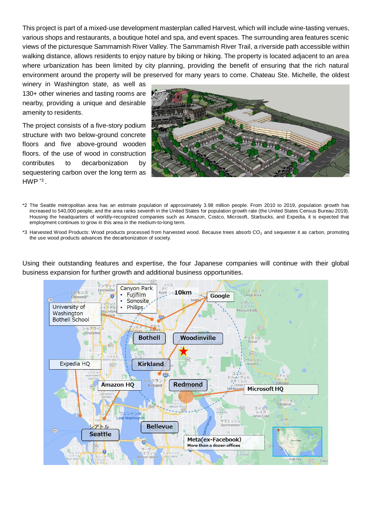This project is part of a mixed-use development masterplan called Harvest, which will include wine-tasting venues, various shops and restaurants, a boutique hotel and spa, and event spaces. The surrounding area features scenic views of the picturesque Sammamish River Valley. The Sammamish River Trail, a riverside path accessible within walking distance, allows residents to enjoy nature by biking or hiking. The property is located adjacent to an area where urbanization has been limited by city planning, providing the benefit of ensuring that the rich natural environment around the property will be preserved for many years to come. Chateau Ste. Michelle, the oldest

winery in Washington state, as well as 130+ other wineries and tasting rooms are nearby, providing a unique and desirable amenity to residents.

The project consists of a five-story podium structure with two below-ground concrete floors and five above-ground wooden floors. of the use of wood in construction contributes to decarbonization by sequestering carbon over the long term as  $HWP^{\ast 3}$ .



- \*2 The Seattle metropolitan area has an estimate population of approximately 3.98 million people. From 2010 to 2019, population growth has increased to 540,000 people, and the area ranks seventh in the United States for population growth rate (the United States Census Bureau 2019). Housing the headquarters of worldly-recognized companies such as Amazon, Costco, Microsoft, Starbucks, and Expedia, it is expected that employment continues to grow in this area in the medium-to-long term.
- \*3 Harvested Wood Products: Wood products processed from harvested wood. Because trees absorb CO<sub>2</sub> and sequester it as carbon, promoting the use wood products advances the decarbonization of society.

Using their outstanding features and expertise, the four Japanese companies will continue with their global business expansion for further growth and additional business opportunities.